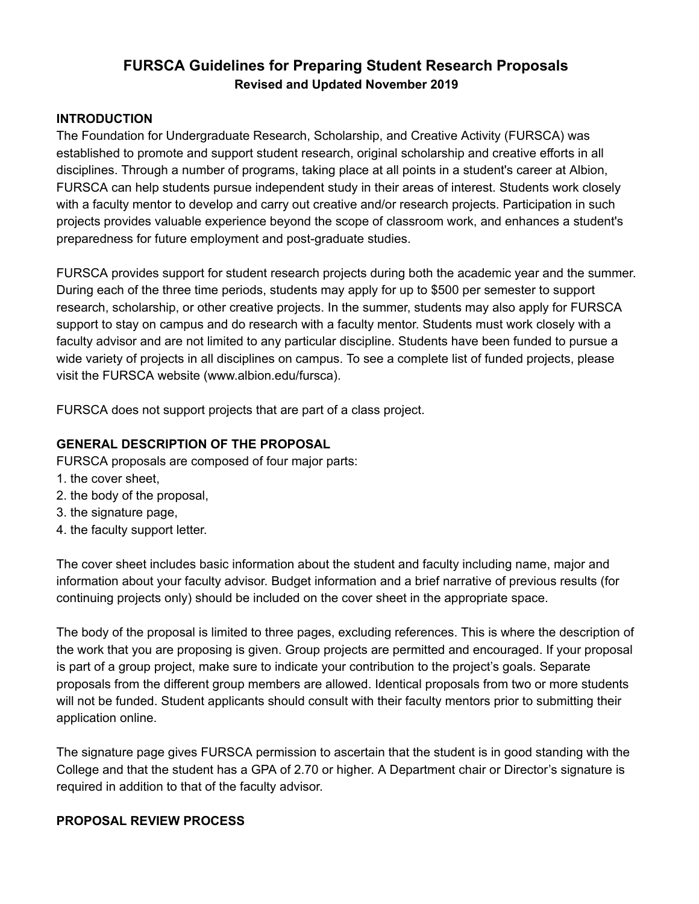# **FURSCA Guidelines for Preparing Student Research Proposals Revised and Updated November 2019**

### **INTRODUCTION**

The Foundation for Undergraduate Research, Scholarship, and Creative Activity (FURSCA) was established to promote and support student research, original scholarship and creative efforts in all disciplines. Through a number of programs, taking place at all points in a student's career at Albion, FURSCA can help students pursue independent study in their areas of interest. Students work closely with a faculty mentor to develop and carry out creative and/or research projects. Participation in such projects provides valuable experience beyond the scope of classroom work, and enhances a student's preparedness for future employment and post-graduate studies.

FURSCA provides support for student research projects during both the academic year and the summer. During each of the three time periods, students may apply for up to \$500 per semester to support research, scholarship, or other creative projects. In the summer, students may also apply for FURSCA support to stay on campus and do research with a faculty mentor. Students must work closely with a faculty advisor and are not limited to any particular discipline. Students have been funded to pursue a wide variety of projects in all disciplines on campus. To see a complete list of funded projects, please visit the FURSCA website (www.albion.edu/fursca).

FURSCA does not support projects that are part of a class project.

### **GENERAL DESCRIPTION OF THE PROPOSAL**

FURSCA proposals are composed of four major parts:

- 1. the cover sheet,
- 2. the body of the proposal,
- 3. the signature page,
- 4. the faculty support letter.

The cover sheet includes basic information about the student and faculty including name, major and information about your faculty advisor. Budget information and a brief narrative of previous results (for continuing projects only) should be included on the cover sheet in the appropriate space.

The body of the proposal is limited to three pages, excluding references. This is where the description of the work that you are proposing is given. Group projects are permitted and encouraged. If your proposal is part of a group project, make sure to indicate your contribution to the project's goals. Separate proposals from the different group members are allowed. Identical proposals from two or more students will not be funded. Student applicants should consult with their faculty mentors prior to submitting their application online.

The signature page gives FURSCA permission to ascertain that the student is in good standing with the College and that the student has a GPA of 2.70 or higher. A Department chair or Director's signature is required in addition to that of the faculty advisor.

### **PROPOSAL REVIEW PROCESS**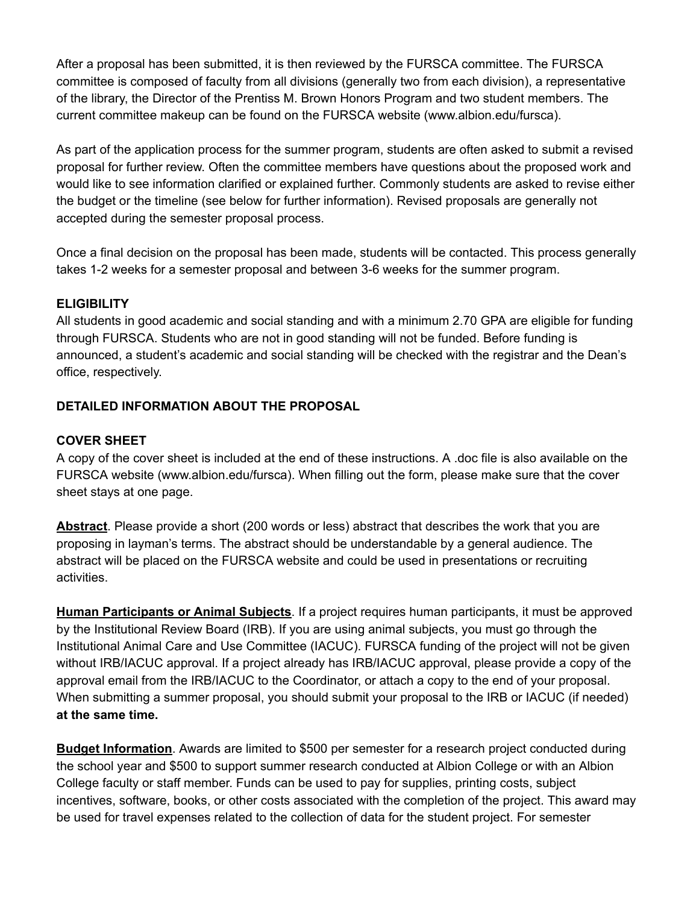After a proposal has been submitted, it is then reviewed by the FURSCA committee. The FURSCA committee is composed of faculty from all divisions (generally two from each division), a representative of the library, the Director of the Prentiss M. Brown Honors Program and two student members. The current committee makeup can be found on the FURSCA website (www.albion.edu/fursca).

As part of the application process for the summer program, students are often asked to submit a revised proposal for further review. Often the committee members have questions about the proposed work and would like to see information clarified or explained further. Commonly students are asked to revise either the budget or the timeline (see below for further information). Revised proposals are generally not accepted during the semester proposal process.

Once a final decision on the proposal has been made, students will be contacted. This process generally takes 1-2 weeks for a semester proposal and between 3-6 weeks for the summer program.

### **ELIGIBILITY**

All students in good academic and social standing and with a minimum 2.70 GPA are eligible for funding through FURSCA. Students who are not in good standing will not be funded. Before funding is announced, a student's academic and social standing will be checked with the registrar and the Dean's office, respectively.

### **DETAILED INFORMATION ABOUT THE PROPOSAL**

#### **COVER SHEET**

A copy of the cover sheet is included at the end of these instructions. A .doc file is also available on the FURSCA website (www.albion.edu/fursca). When filling out the form, please make sure that the cover sheet stays at one page.

**Abstract**. Please provide a short (200 words or less) abstract that describes the work that you are proposing in layman's terms. The abstract should be understandable by a general audience. The abstract will be placed on the FURSCA website and could be used in presentations or recruiting activities.

**Human Participants or Animal Subjects**. If a project requires human participants, it must be approved by the Institutional Review Board (IRB). If you are using animal subjects, you must go through the Institutional Animal Care and Use Committee (IACUC). FURSCA funding of the project will not be given without IRB/IACUC approval. If a project already has IRB/IACUC approval, please provide a copy of the approval email from the IRB/IACUC to the Coordinator, or attach a copy to the end of your proposal. When submitting a summer proposal, you should submit your proposal to the IRB or IACUC (if needed) **at the same time.**

**Budget Information**. Awards are limited to \$500 per semester for a research project conducted during the school year and \$500 to support summer research conducted at Albion College or with an Albion College faculty or staff member. Funds can be used to pay for supplies, printing costs, subject incentives, software, books, or other costs associated with the completion of the project. This award may be used for travel expenses related to the collection of data for the student project. For semester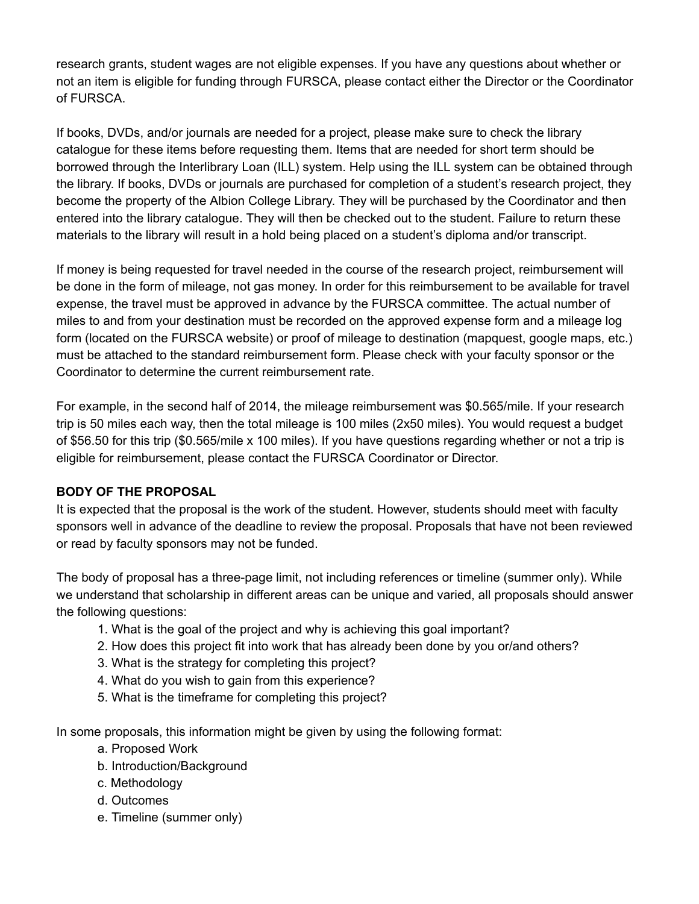research grants, student wages are not eligible expenses. If you have any questions about whether or not an item is eligible for funding through FURSCA, please contact either the Director or the Coordinator of FURSCA.

If books, DVDs, and/or journals are needed for a project, please make sure to check the library catalogue for these items before requesting them. Items that are needed for short term should be borrowed through the Interlibrary Loan (ILL) system. Help using the ILL system can be obtained through the library. If books, DVDs or journals are purchased for completion of a student's research project, they become the property of the Albion College Library. They will be purchased by the Coordinator and then entered into the library catalogue. They will then be checked out to the student. Failure to return these materials to the library will result in a hold being placed on a student's diploma and/or transcript.

If money is being requested for travel needed in the course of the research project, reimbursement will be done in the form of mileage, not gas money. In order for this reimbursement to be available for travel expense, the travel must be approved in advance by the FURSCA committee. The actual number of miles to and from your destination must be recorded on the approved expense form and a mileage log form (located on the FURSCA website) or proof of mileage to destination (mapquest, google maps, etc.) must be attached to the standard reimbursement form. Please check with your faculty sponsor or the Coordinator to determine the current reimbursement rate.

For example, in the second half of 2014, the mileage reimbursement was \$0.565/mile. If your research trip is 50 miles each way, then the total mileage is 100 miles (2x50 miles). You would request a budget of \$56.50 for this trip (\$0.565/mile x 100 miles). If you have questions regarding whether or not a trip is eligible for reimbursement, please contact the FURSCA Coordinator or Director.

### **BODY OF THE PROPOSAL**

It is expected that the proposal is the work of the student. However, students should meet with faculty sponsors well in advance of the deadline to review the proposal. Proposals that have not been reviewed or read by faculty sponsors may not be funded.

The body of proposal has a three-page limit, not including references or timeline (summer only). While we understand that scholarship in different areas can be unique and varied, all proposals should answer the following questions:

- 1. What is the goal of the project and why is achieving this goal important?
- 2. How does this project fit into work that has already been done by you or/and others?
- 3. What is the strategy for completing this project?
- 4. What do you wish to gain from this experience?
- 5. What is the timeframe for completing this project?

In some proposals, this information might be given by using the following format:

- a. Proposed Work
- b. Introduction/Background
- c. Methodology
- d. Outcomes
- e. Timeline (summer only)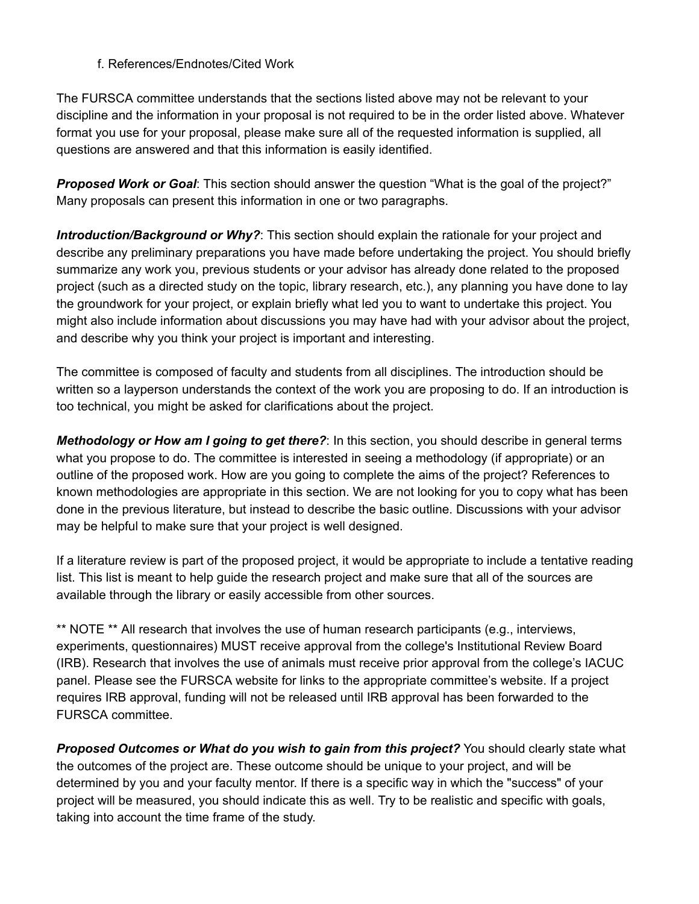#### f. References/Endnotes/Cited Work

The FURSCA committee understands that the sections listed above may not be relevant to your discipline and the information in your proposal is not required to be in the order listed above. Whatever format you use for your proposal, please make sure all of the requested information is supplied, all questions are answered and that this information is easily identified.

*Proposed Work or Goal*: This section should answer the question "What is the goal of the project?" Many proposals can present this information in one or two paragraphs.

*Introduction/Background or Why?*: This section should explain the rationale for your project and describe any preliminary preparations you have made before undertaking the project. You should briefly summarize any work you, previous students or your advisor has already done related to the proposed project (such as a directed study on the topic, library research, etc.), any planning you have done to lay the groundwork for your project, or explain briefly what led you to want to undertake this project. You might also include information about discussions you may have had with your advisor about the project, and describe why you think your project is important and interesting.

The committee is composed of faculty and students from all disciplines. The introduction should be written so a layperson understands the context of the work you are proposing to do. If an introduction is too technical, you might be asked for clarifications about the project.

*Methodology or How am I going to get there?*: In this section, you should describe in general terms what you propose to do. The committee is interested in seeing a methodology (if appropriate) or an outline of the proposed work. How are you going to complete the aims of the project? References to known methodologies are appropriate in this section. We are not looking for you to copy what has been done in the previous literature, but instead to describe the basic outline. Discussions with your advisor may be helpful to make sure that your project is well designed.

If a literature review is part of the proposed project, it would be appropriate to include a tentative reading list. This list is meant to help guide the research project and make sure that all of the sources are available through the library or easily accessible from other sources.

\*\* NOTE \*\* All research that involves the use of human research participants (e.g., interviews, experiments, questionnaires) MUST receive approval from the college's Institutional Review Board (IRB). Research that involves the use of animals must receive prior approval from the college's IACUC panel. Please see the FURSCA website for links to the appropriate committee's website. If a project requires IRB approval, funding will not be released until IRB approval has been forwarded to the FURSCA committee.

*Proposed Outcomes or What do you wish to gain from this project?* You should clearly state what the outcomes of the project are. These outcome should be unique to your project, and will be determined by you and your faculty mentor. If there is a specific way in which the "success" of your project will be measured, you should indicate this as well. Try to be realistic and specific with goals, taking into account the time frame of the study.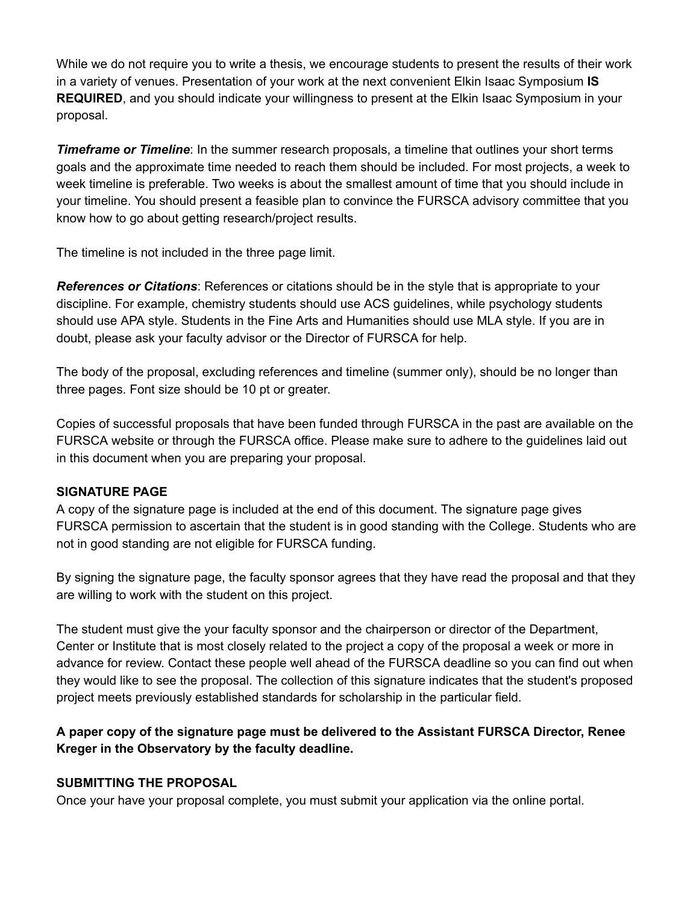While we do not require you to write a thesis, we encourage students to present the results of their work in a variety of venues. Presentation of your work at the next convenient Elkin Isaac Symposium **IS REQUIRED**, and you should indicate your willingness to present at the Elkin Isaac Symposium in your proposal.

*Timeframe or Timeline*: In the summer research proposals, a timeline that outlines your short terms goals and the approximate time needed to reach them should be included. For most projects, a week to week timeline is preferable. Two weeks is about the smallest amount of time that you should include in your timeline. You should present a feasible plan to convince the FURSCA advisory committee that you know how to go about getting research/project results.

The timeline is not included in the three page limit.

*References or Citations*: References or citations should be in the style that is appropriate to your discipline. For example, chemistry students should use ACS guidelines, while psychology students should use APA style. Students in the Fine Arts and Humanities should use MLA style. If you are in doubt, please ask your faculty advisor or the Director of FURSCA for help.

The body of the proposal, excluding references and timeline (summer only), should be no longer than three pages. Font size should be 10 pt or greater.

Copies of successful proposals that have been funded through FURSCA in the past are available on the FURSCA website or through the FURSCA office. Please make sure to adhere to the guidelines laid out in this document when you are preparing your proposal.

### **SIGNATURE PAGE**

A copy of the signature page is included at the end of this document. The signature page gives FURSCA permission to ascertain that the student is in good standing with the College. Students who are not in good standing are not eligible for FURSCA funding.

By signing the signature page, the faculty sponsor agrees that they have read the proposal and that they are willing to work with the student on this project.

The student must give the your faculty sponsor and the chairperson or director of the Department, Center or Institute that is most closely related to the project a copy of the proposal a week or more in advance for review. Contact these people well ahead of the FURSCA deadline so you can find out when they would like to see the proposal. The collection of this signature indicates that the student's proposed project meets previously established standards for scholarship in the particular field.

## **A paper copy of the signature page must be delivered to the Assistant FURSCA Director, Renee Kreger in the Observatory by the faculty deadline.**

### **SUBMITTING THE PROPOSAL**

Once your have your proposal complete, you must submit your application via the online portal.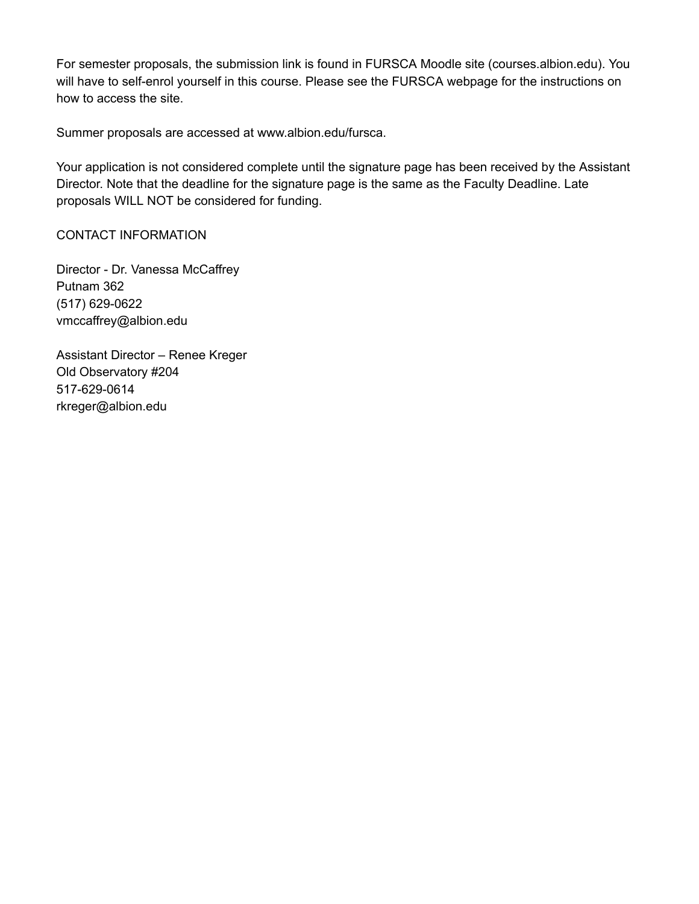For semester proposals, the submission link is found in FURSCA Moodle site (courses.albion.edu). You will have to self-enrol yourself in this course. Please see the FURSCA webpage for the instructions on how to access the site.

Summer proposals are accessed at www.albion.edu/fursca.

Your application is not considered complete until the signature page has been received by the Assistant Director. Note that the deadline for the signature page is the same as the Faculty Deadline. Late proposals WILL NOT be considered for funding.

#### CONTACT INFORMATION

Director - Dr. Vanessa McCaffrey Putnam 362 (517) 629-0622 vmccaffrey@albion.edu

Assistant Director – Renee Kreger Old Observatory #204 517-629-0614 rkreger@albion.edu